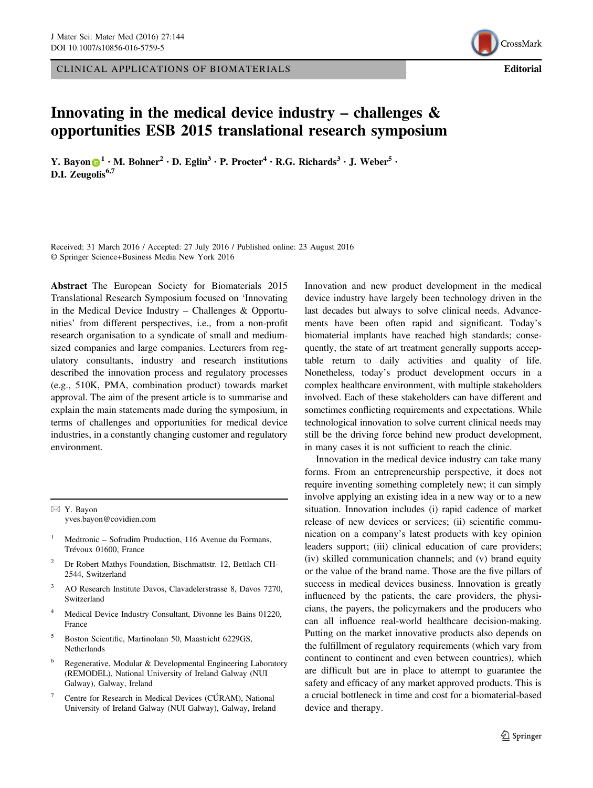CLINICAL APPLICATIONS OF BIOMATERIALS **Editorial** 



# Innovating in the medical device industry – challenges  $\&$ opportunities ESB 2015 translational research symposium

Y. Bayo[n](http://orcid.org/0000-0002-0232-3079)  $\mathbf{D}^1 \cdot \mathbf{M}$  $\mathbf{D}^1 \cdot \mathbf{M}$  $\mathbf{D}^1 \cdot \mathbf{M}$ . Bohner $^2 \cdot \mathbf{D}$ . Eglin $^3 \cdot \mathbf{P}$ . Procter $^4 \cdot \mathbf{R}$ .G. Richards $^3 \cdot \mathbf{J}$ . Weber $^5 \cdot$ D.I. Zeugolis<sup>6,7</sup>

Received: 31 March 2016 / Accepted: 27 July 2016 / Published online: 23 August 2016 © Springer Science+Business Media New York 2016

Abstract The European Society for Biomaterials 2015 Translational Research Symposium focused on 'Innovating in the Medical Device Industry – Challenges & Opportunities' from different perspectives, i.e., from a non-profit research organisation to a syndicate of small and mediumsized companies and large companies. Lecturers from regulatory consultants, industry and research institutions described the innovation process and regulatory processes (e.g., 510K, PMA, combination product) towards market approval. The aim of the present article is to summarise and explain the main statements made during the symposium, in terms of challenges and opportunities for medical device industries, in a constantly changing customer and regulatory environment.

 $\boxtimes$  Y. Bayon yves.bayon@covidien.com

- <sup>1</sup> Medtronic Sofradim Production, 116 Avenue du Formans, Trévoux 01600, France
- <sup>2</sup> Dr Robert Mathys Foundation, Bischmattstr. 12, Bettlach CH-2544, Switzerland
- <sup>3</sup> AO Research Institute Davos, Clavadelerstrasse 8, Davos 7270, Switzerland
- <sup>4</sup> Medical Device Industry Consultant, Divonne les Bains 01220, France
- <sup>5</sup> Boston Scientific, Martinolaan 50, Maastricht 6229GS, **Netherlands**
- <sup>6</sup> Regenerative, Modular & Developmental Engineering Laboratory (REMODEL), National University of Ireland Galway (NUI Galway), Galway, Ireland
- <sup>7</sup> Centre for Research in Medical Devices (CÚRAM), National University of Ireland Galway (NUI Galway), Galway, Ireland

Innovation and new product development in the medical device industry have largely been technology driven in the last decades but always to solve clinical needs. Advancements have been often rapid and significant. Today's biomaterial implants have reached high standards; consequently, the state of art treatment generally supports acceptable return to daily activities and quality of life. Nonetheless, today's product development occurs in a complex healthcare environment, with multiple stakeholders involved. Each of these stakeholders can have different and sometimes conflicting requirements and expectations. While technological innovation to solve current clinical needs may still be the driving force behind new product development, in many cases it is not sufficient to reach the clinic.

Innovation in the medical device industry can take many forms. From an entrepreneurship perspective, it does not require inventing something completely new; it can simply involve applying an existing idea in a new way or to a new situation. Innovation includes (i) rapid cadence of market release of new devices or services; (ii) scientific communication on a company's latest products with key opinion leaders support; (iii) clinical education of care providers; (iv) skilled communication channels; and (v) brand equity or the value of the brand name. Those are the five pillars of success in medical devices business. Innovation is greatly influenced by the patients, the care providers, the physicians, the payers, the policymakers and the producers who can all influence real-world healthcare decision-making. Putting on the market innovative products also depends on the fulfillment of regulatory requirements (which vary from continent to continent and even between countries), which are difficult but are in place to attempt to guarantee the safety and efficacy of any market approved products. This is a crucial bottleneck in time and cost for a biomaterial-based device and therapy.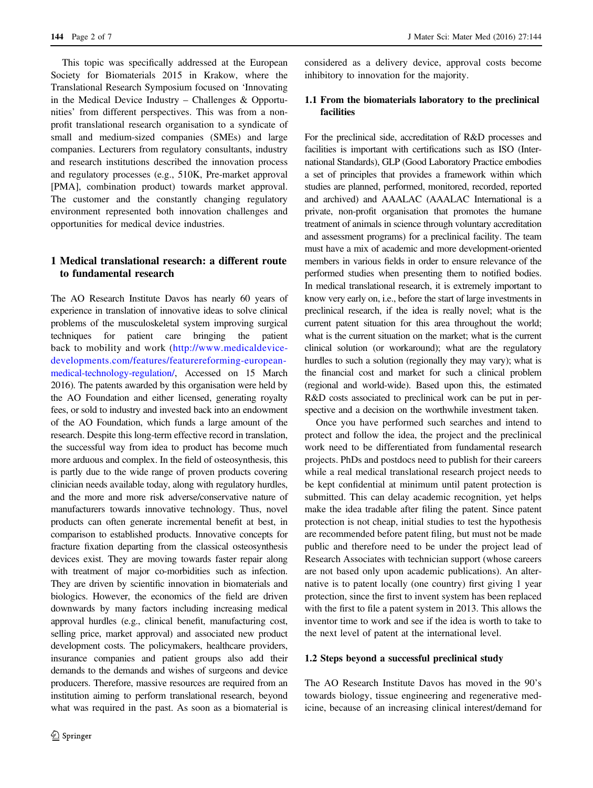This topic was specifically addressed at the European Society for Biomaterials 2015 in Krakow, where the Translational Research Symposium focused on 'Innovating in the Medical Device Industry – Challenges & Opportunities' from different perspectives. This was from a nonprofit translational research organisation to a syndicate of small and medium-sized companies (SMEs) and large companies. Lecturers from regulatory consultants, industry and research institutions described the innovation process and regulatory processes (e.g., 510K, Pre-market approval [PMA], combination product) towards market approval. The customer and the constantly changing regulatory environment represented both innovation challenges and opportunities for medical device industries.

## 1 Medical translational research: a different route to fundamental research

The AO Research Institute Davos has nearly 60 years of experience in translation of innovative ideas to solve clinical problems of the musculoskeletal system improving surgical techniques for patient care bringing the patient back to mobility and work ([http://www.medicaldevice](http://www.medicaldeviceevelopments.com/features/featurereforminguropeanedical-echnology-egulation/)[developments.com/features/featurereforming-european](http://www.medicaldeviceevelopments.com/features/featurereforminguropeanedical-echnology-egulation/)[medical-technology-regulation/](http://www.medicaldeviceevelopments.com/features/featurereforminguropeanedical-echnology-egulation/), Accessed on 15 March 2016). The patents awarded by this organisation were held by the AO Foundation and either licensed, generating royalty fees, or sold to industry and invested back into an endowment of the AO Foundation, which funds a large amount of the research. Despite this long-term effective record in translation, the successful way from idea to product has become much more arduous and complex. In the field of osteosynthesis, this is partly due to the wide range of proven products covering clinician needs available today, along with regulatory hurdles, and the more and more risk adverse/conservative nature of manufacturers towards innovative technology. Thus, novel products can often generate incremental benefit at best, in comparison to established products. Innovative concepts for fracture fixation departing from the classical osteosynthesis devices exist. They are moving towards faster repair along with treatment of major co-morbidities such as infection. They are driven by scientific innovation in biomaterials and biologics. However, the economics of the field are driven downwards by many factors including increasing medical approval hurdles (e.g., clinical benefit, manufacturing cost, selling price, market approval) and associated new product development costs. The policymakers, healthcare providers, insurance companies and patient groups also add their demands to the demands and wishes of surgeons and device producers. Therefore, massive resources are required from an institution aiming to perform translational research, beyond what was required in the past. As soon as a biomaterial is

considered as a delivery device, approval costs become inhibitory to innovation for the majority.

## 1.1 From the biomaterials laboratory to the preclinical facilities

For the preclinical side, accreditation of R&D processes and facilities is important with certifications such as ISO (International Standards), GLP (Good Laboratory Practice embodies a set of principles that provides a framework within which studies are planned, performed, monitored, recorded, reported and archived) and AAALAC (AAALAC International is a private, non-profit organisation that promotes the humane treatment of animals in science through voluntary accreditation and assessment programs) for a preclinical facility. The team must have a mix of academic and more development-oriented members in various fields in order to ensure relevance of the performed studies when presenting them to notified bodies. In medical translational research, it is extremely important to know very early on, i.e., before the start of large investments in preclinical research, if the idea is really novel; what is the current patent situation for this area throughout the world; what is the current situation on the market; what is the current clinical solution (or workaround); what are the regulatory hurdles to such a solution (regionally they may vary); what is the financial cost and market for such a clinical problem (regional and world-wide). Based upon this, the estimated R&D costs associated to preclinical work can be put in perspective and a decision on the worthwhile investment taken.

Once you have performed such searches and intend to protect and follow the idea, the project and the preclinical work need to be differentiated from fundamental research projects. PhDs and postdocs need to publish for their careers while a real medical translational research project needs to be kept confidential at minimum until patent protection is submitted. This can delay academic recognition, yet helps make the idea tradable after filing the patent. Since patent protection is not cheap, initial studies to test the hypothesis are recommended before patent filing, but must not be made public and therefore need to be under the project lead of Research Associates with technician support (whose careers are not based only upon academic publications). An alternative is to patent locally (one country) first giving 1 year protection, since the first to invent system has been replaced with the first to file a patent system in 2013. This allows the inventor time to work and see if the idea is worth to take to the next level of patent at the international level.

#### 1.2 Steps beyond a successful preclinical study

The AO Research Institute Davos has moved in the 90's towards biology, tissue engineering and regenerative medicine, because of an increasing clinical interest/demand for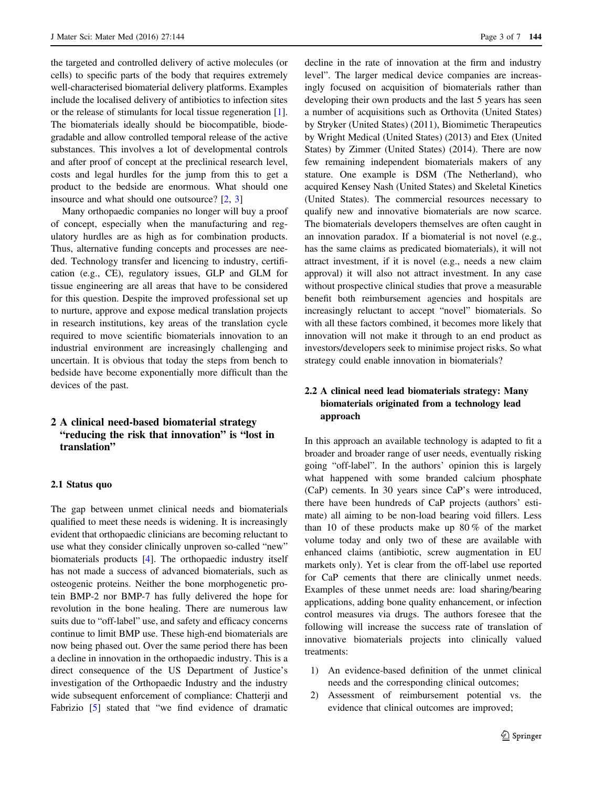the targeted and controlled delivery of active molecules (or cells) to specific parts of the body that requires extremely well-characterised biomaterial delivery platforms. Examples include the localised delivery of antibiotics to infection sites or the release of stimulants for local tissue regeneration [\[1](#page-6-0)]. The biomaterials ideally should be biocompatible, biodegradable and allow controlled temporal release of the active substances. This involves a lot of developmental controls and after proof of concept at the preclinical research level, costs and legal hurdles for the jump from this to get a product to the bedside are enormous. What should one insource and what should one outsource? [[2,](#page-6-0) [3\]](#page-6-0)

Many orthopaedic companies no longer will buy a proof of concept, especially when the manufacturing and regulatory hurdles are as high as for combination products. Thus, alternative funding concepts and processes are needed. Technology transfer and licencing to industry, certification (e.g., CE), regulatory issues, GLP and GLM for tissue engineering are all areas that have to be considered for this question. Despite the improved professional set up to nurture, approve and expose medical translation projects in research institutions, key areas of the translation cycle required to move scientific biomaterials innovation to an industrial environment are increasingly challenging and uncertain. It is obvious that today the steps from bench to bedside have become exponentially more difficult than the devices of the past.

## 2 A clinical need-based biomaterial strategy "reducing the risk that innovation" is "lost in translation"

#### 2.1 Status quo

The gap between unmet clinical needs and biomaterials qualified to meet these needs is widening. It is increasingly evident that orthopaedic clinicians are becoming reluctant to use what they consider clinically unproven so-called "new" biomaterials products [\[4](#page-6-0)]. The orthopaedic industry itself has not made a success of advanced biomaterials, such as osteogenic proteins. Neither the bone morphogenetic protein BMP-2 nor BMP-7 has fully delivered the hope for revolution in the bone healing. There are numerous law suits due to "off-label" use, and safety and efficacy concerns continue to limit BMP use. These high-end biomaterials are now being phased out. Over the same period there has been a decline in innovation in the orthopaedic industry. This is a direct consequence of the US Department of Justice's investigation of the Orthopaedic Industry and the industry wide subsequent enforcement of compliance: Chatterji and Fabrizio [[5\]](#page-6-0) stated that "we find evidence of dramatic decline in the rate of innovation at the firm and industry level". The larger medical device companies are increasingly focused on acquisition of biomaterials rather than developing their own products and the last 5 years has seen a number of acquisitions such as Orthovita (United States) by Stryker (United States) (2011), Biomimetic Therapeutics by Wright Medical (United States) (2013) and Etex (United States) by Zimmer (United States) (2014). There are now few remaining independent biomaterials makers of any stature. One example is DSM (The Netherland), who acquired Kensey Nash (United States) and Skeletal Kinetics (United States). The commercial resources necessary to qualify new and innovative biomaterials are now scarce. The biomaterials developers themselves are often caught in an innovation paradox. If a biomaterial is not novel (e.g., has the same claims as predicated biomaterials), it will not attract investment, if it is novel (e.g., needs a new claim approval) it will also not attract investment. In any case without prospective clinical studies that prove a measurable benefit both reimbursement agencies and hospitals are increasingly reluctant to accept "novel" biomaterials. So with all these factors combined, it becomes more likely that innovation will not make it through to an end product as investors/developers seek to minimise project risks. So what strategy could enable innovation in biomaterials?

## 2.2 A clinical need lead biomaterials strategy: Many biomaterials originated from a technology lead approach

In this approach an available technology is adapted to fit a broader and broader range of user needs, eventually risking going "off-label". In the authors' opinion this is largely what happened with some branded calcium phosphate (CaP) cements. In 30 years since CaP's were introduced, there have been hundreds of CaP projects (authors' estimate) all aiming to be non-load bearing void fillers. Less than 10 of these products make up 80 % of the market volume today and only two of these are available with enhanced claims (antibiotic, screw augmentation in EU markets only). Yet is clear from the off-label use reported for CaP cements that there are clinically unmet needs. Examples of these unmet needs are: load sharing/bearing applications, adding bone quality enhancement, or infection control measures via drugs. The authors foresee that the following will increase the success rate of translation of innovative biomaterials projects into clinically valued treatments:

- 1) An evidence-based definition of the unmet clinical needs and the corresponding clinical outcomes;
- 2) Assessment of reimbursement potential vs. the evidence that clinical outcomes are improved;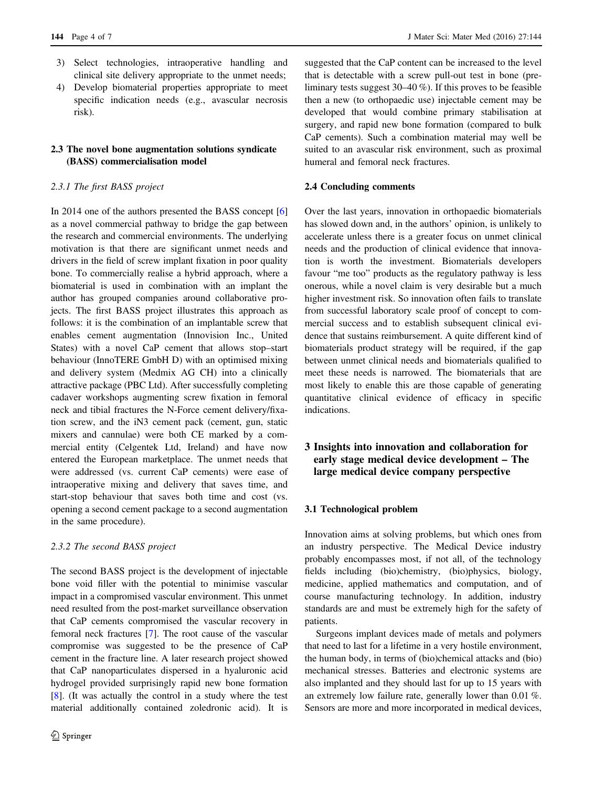- 3) Select technologies, intraoperative handling and clinical site delivery appropriate to the unmet needs;
- 4) Develop biomaterial properties appropriate to meet specific indication needs (e.g., avascular necrosis risk).

## 2.3 The novel bone augmentation solutions syndicate (BASS) commercialisation model

#### 2.3.1 The first BASS project

In 2014 one of the authors presented the BASS concept [[6\]](#page-6-0) as a novel commercial pathway to bridge the gap between the research and commercial environments. The underlying motivation is that there are significant unmet needs and drivers in the field of screw implant fixation in poor quality bone. To commercially realise a hybrid approach, where a biomaterial is used in combination with an implant the author has grouped companies around collaborative projects. The first BASS project illustrates this approach as follows: it is the combination of an implantable screw that enables cement augmentation (Innovision Inc., United States) with a novel CaP cement that allows stop–start behaviour (InnoTERE GmbH D) with an optimised mixing and delivery system (Medmix AG CH) into a clinically attractive package (PBC Ltd). After successfully completing cadaver workshops augmenting screw fixation in femoral neck and tibial fractures the N-Force cement delivery/fixation screw, and the iN3 cement pack (cement, gun, static mixers and cannulae) were both CE marked by a commercial entity (Celgentek Ltd, Ireland) and have now entered the European marketplace. The unmet needs that were addressed (vs. current CaP cements) were ease of intraoperative mixing and delivery that saves time, and start-stop behaviour that saves both time and cost (vs. opening a second cement package to a second augmentation in the same procedure).

#### 2.3.2 The second BASS project

The second BASS project is the development of injectable bone void filler with the potential to minimise vascular impact in a compromised vascular environment. This unmet need resulted from the post-market surveillance observation that CaP cements compromised the vascular recovery in femoral neck fractures [\[7](#page-6-0)]. The root cause of the vascular compromise was suggested to be the presence of CaP cement in the fracture line. A later research project showed that CaP nanoparticulates dispersed in a hyaluronic acid hydrogel provided surprisingly rapid new bone formation [\[8](#page-6-0)]. (It was actually the control in a study where the test material additionally contained zoledronic acid). It is

suggested that the CaP content can be increased to the level that is detectable with a screw pull-out test in bone (preliminary tests suggest 30–40 %). If this proves to be feasible then a new (to orthopaedic use) injectable cement may be developed that would combine primary stabilisation at surgery, and rapid new bone formation (compared to bulk CaP cements). Such a combination material may well be suited to an avascular risk environment, such as proximal humeral and femoral neck fractures.

#### 2.4 Concluding comments

Over the last years, innovation in orthopaedic biomaterials has slowed down and, in the authors' opinion, is unlikely to accelerate unless there is a greater focus on unmet clinical needs and the production of clinical evidence that innovation is worth the investment. Biomaterials developers favour "me too" products as the regulatory pathway is less onerous, while a novel claim is very desirable but a much higher investment risk. So innovation often fails to translate from successful laboratory scale proof of concept to commercial success and to establish subsequent clinical evidence that sustains reimbursement. A quite different kind of biomaterials product strategy will be required, if the gap between unmet clinical needs and biomaterials qualified to meet these needs is narrowed. The biomaterials that are most likely to enable this are those capable of generating quantitative clinical evidence of efficacy in specific indications.

## 3 Insights into innovation and collaboration for early stage medical device development – The large medical device company perspective

#### 3.1 Technological problem

Innovation aims at solving problems, but which ones from an industry perspective. The Medical Device industry probably encompasses most, if not all, of the technology fields including (bio)chemistry, (bio)physics, biology, medicine, applied mathematics and computation, and of course manufacturing technology. In addition, industry standards are and must be extremely high for the safety of patients.

Surgeons implant devices made of metals and polymers that need to last for a lifetime in a very hostile environment, the human body, in terms of (bio)chemical attacks and (bio) mechanical stresses. Batteries and electronic systems are also implanted and they should last for up to 15 years with an extremely low failure rate, generally lower than 0.01 %. Sensors are more and more incorporated in medical devices,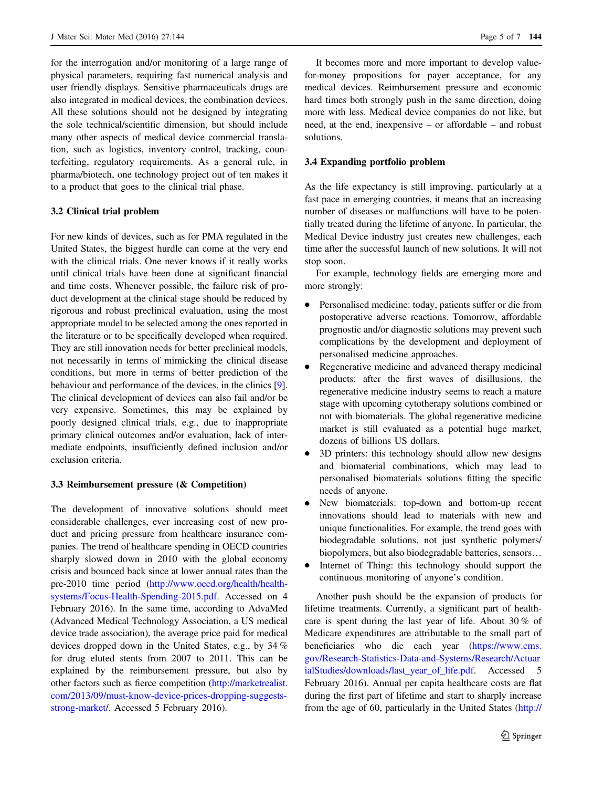for the interrogation and/or monitoring of a large range of physical parameters, requiring fast numerical analysis and user friendly displays. Sensitive pharmaceuticals drugs are also integrated in medical devices, the combination devices. All these solutions should not be designed by integrating the sole technical/scientific dimension, but should include many other aspects of medical device commercial translation, such as logistics, inventory control, tracking, counterfeiting, regulatory requirements. As a general rule, in pharma/biotech, one technology project out of ten makes it to a product that goes to the clinical trial phase.

#### 3.2 Clinical trial problem

For new kinds of devices, such as for PMA regulated in the United States, the biggest hurdle can come at the very end with the clinical trials. One never knows if it really works until clinical trials have been done at significant financial and time costs. Whenever possible, the failure risk of product development at the clinical stage should be reduced by rigorous and robust preclinical evaluation, using the most appropriate model to be selected among the ones reported in the literature or to be specifically developed when required. They are still innovation needs for better preclinical models, not necessarily in terms of mimicking the clinical disease conditions, but more in terms of better prediction of the behaviour and performance of the devices, in the clinics [\[9](#page-6-0)]. The clinical development of devices can also fail and/or be very expensive. Sometimes, this may be explained by poorly designed clinical trials, e.g., due to inappropriate primary clinical outcomes and/or evaluation, lack of intermediate endpoints, insufficiently defined inclusion and/or exclusion criteria.

#### 3.3 Reimbursement pressure (& Competition)

The development of innovative solutions should meet considerable challenges, ever increasing cost of new product and pricing pressure from healthcare insurance companies. The trend of healthcare spending in OECD countries sharply slowed down in 2010 with the global economy crisis and bounced back since at lower annual rates than the pre-2010 time period [\(http://www.oecd.org/health/health](http://www.oecd.org/health/health-ystems/Focus-ealth-pendingpdf)[systems/Focus-Health-Spending-2015.pdf.](http://www.oecd.org/health/health-ystems/Focus-ealth-pendingpdf) Accessed on 4 February 2016). In the same time, according to AdvaMed (Advanced Medical Technology Association, a US medical device trade association), the average price paid for medical devices dropped down in the United States, e.g., by 34 % for drug eluted stents from 2007 to 2011. This can be explained by the reimbursement pressure, but also by other factors such as fierce competition ([http://marketrealist.](http://marketrealist.com/2013/09/mustnowevice-ricesropping-uggests-trongarket) [com/2013/09/must-know-device-prices-dropping-suggests](http://marketrealist.com/2013/09/mustnowevice-ricesropping-uggests-trongarket)[strong-market](http://marketrealist.com/2013/09/mustnowevice-ricesropping-uggests-trongarket)/. Accessed 5 February 2016).

It becomes more and more important to develop valuefor-money propositions for payer acceptance, for any medical devices. Reimbursement pressure and economic hard times both strongly push in the same direction, doing more with less. Medical device companies do not like, but need, at the end, inexpensive – or affordable – and robust solutions.

#### 3.4 Expanding portfolio problem

As the life expectancy is still improving, particularly at a fast pace in emerging countries, it means that an increasing number of diseases or malfunctions will have to be potentially treated during the lifetime of anyone. In particular, the Medical Device industry just creates new challenges, each time after the successful launch of new solutions. It will not stop soon.

For example, technology fields are emerging more and more strongly:

- Personalised medicine: today, patients suffer or die from postoperative adverse reactions. Tomorrow, affordable prognostic and/or diagnostic solutions may prevent such complications by the development and deployment of personalised medicine approaches.
- Regenerative medicine and advanced therapy medicinal products: after the first waves of disillusions, the regenerative medicine industry seems to reach a mature stage with upcoming cytotherapy solutions combined or not with biomaterials. The global regenerative medicine market is still evaluated as a potential huge market, dozens of billions US dollars.
- 3D printers: this technology should allow new designs and biomaterial combinations, which may lead to personalised biomaterials solutions fitting the specific needs of anyone.
- New biomaterials: top-down and bottom-up recent innovations should lead to materials with new and unique functionalities. For example, the trend goes with biodegradable solutions, not just synthetic polymers/ biopolymers, but also biodegradable batteries, sensors…
- Internet of Thing: this technology should support the continuous monitoring of anyone's condition.

Another push should be the expansion of products for lifetime treatments. Currently, a significant part of healthcare is spent during the last year of life. About 30 % of Medicare expenditures are attributable to the small part of beneficiaries who die each year [\(https://www.cms.](https://www.cms.gov/Research-tatistics-atand-ystems/Research/ActuarialStudies/downloads/last_year_of_life.pdf) [gov/Research-Statistics-Data-and-Systems/Research/Actuar](https://www.cms.gov/Research-tatistics-atand-ystems/Research/ActuarialStudies/downloads/last_year_of_life.pdf) [ialStudies/downloads/last\\_year\\_of\\_life.pdf.](https://www.cms.gov/Research-tatistics-atand-ystems/Research/ActuarialStudies/downloads/last_year_of_life.pdf) Accessed 5 February 2016). Annual per capita healthcare costs are flat during the first part of lifetime and start to sharply increase from the age of 60, particularly in the United States ([http://](http://ritholtz.com/2013/01/chartf-heayealthare-pendingygendountry/)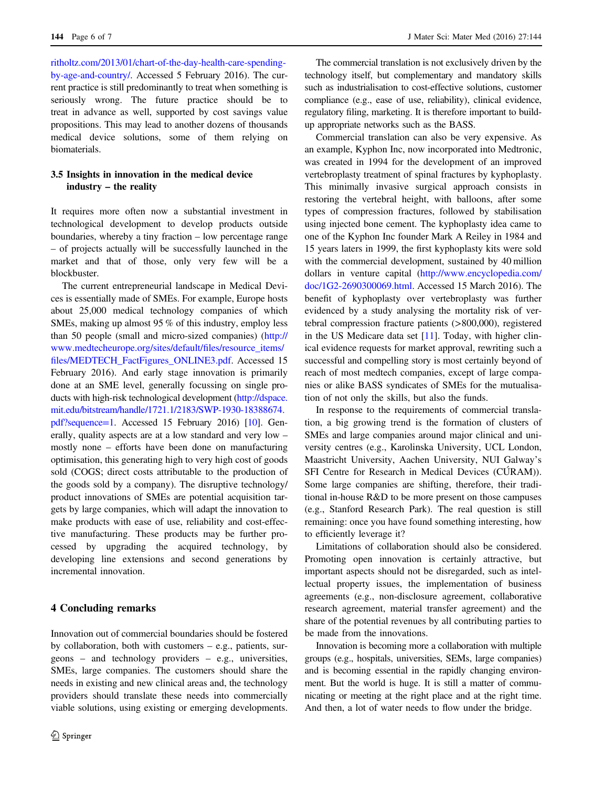[ritholtz.com/2013/01/chart-of-the-day-health-care-spending](http://ritholtz.com/2013/01/chartf-heayealthare-pendingygendountry/)[by-age-and-country/.](http://ritholtz.com/2013/01/chartf-heayealthare-pendingygendountry/) Accessed 5 February 2016). The current practice is still predominantly to treat when something is seriously wrong. The future practice should be to treat in advance as well, supported by cost savings value propositions. This may lead to another dozens of thousands medical device solutions, some of them relying on biomaterials.

### 3.5 Insights in innovation in the medical device industry – the reality

It requires more often now a substantial investment in technological development to develop products outside boundaries, whereby a tiny fraction – low percentage range – of projects actually will be successfully launched in the market and that of those, only very few will be a blockbuster.

The current entrepreneurial landscape in Medical Devices is essentially made of SMEs. For example, Europe hosts about 25,000 medical technology companies of which SMEs, making up almost 95 % of this industry, employ less than 50 people (small and micro-sized companies) ([http://](http://www.medtecheurope.org/sites/default/files/resource_items/files/MEDTECH_FactFigures_ONLINE3.pdf) [www.medtecheurope.org/sites/default/](http://www.medtecheurope.org/sites/default/files/resource_items/files/MEDTECH_FactFigures_ONLINE3.pdf)files/resource\_items/ fi[les/MEDTECH\\_FactFigures\\_ONLINE3.pdf](http://www.medtecheurope.org/sites/default/files/resource_items/files/MEDTECH_FactFigures_ONLINE3.pdf). Accessed 15 February 2016). And early stage innovation is primarily done at an SME level, generally focussing on single products with high-risk technological development [\(http://dspace.](http://dspace.mit.edu/bitstream/handle/1721.1/2183/SWP-18388674.pdf?sequence=,0,0,2) [mit.edu/bitstream/handle/1721.1/2183/SWP-1930-18388674.](http://dspace.mit.edu/bitstream/handle/1721.1/2183/SWP-18388674.pdf?sequence=,0,0,2) [pdf?sequence](http://dspace.mit.edu/bitstream/handle/1721.1/2183/SWP-18388674.pdf?sequence=,0,0,2)=1. Accessed 15 February 2016) [[10](#page-6-0)]. Generally, quality aspects are at a low standard and very low – mostly none – efforts have been done on manufacturing optimisation, this generating high to very high cost of goods sold (COGS; direct costs attributable to the production of the goods sold by a company). The disruptive technology/ product innovations of SMEs are potential acquisition targets by large companies, which will adapt the innovation to make products with ease of use, reliability and cost-effective manufacturing. These products may be further processed by upgrading the acquired technology, by developing line extensions and second generations by incremental innovation.

#### 4 Concluding remarks

Innovation out of commercial boundaries should be fostered by collaboration, both with customers – e.g., patients, surgeons – and technology providers – e.g., universities, SMEs, large companies. The customers should share the needs in existing and new clinical areas and, the technology providers should translate these needs into commercially viable solutions, using existing or emerging developments.

The commercial translation is not exclusively driven by the technology itself, but complementary and mandatory skills such as industrialisation to cost-effective solutions, customer compliance (e.g., ease of use, reliability), clinical evidence, regulatory filing, marketing. It is therefore important to buildup appropriate networks such as the BASS.

Commercial translation can also be very expensive. As an example, Kyphon Inc, now incorporated into Medtronic, was created in 1994 for the development of an improved vertebroplasty treatment of spinal fractures by kyphoplasty. This minimally invasive surgical approach consists in restoring the vertebral height, with balloons, after some types of compression fractures, followed by stabilisation using injected bone cement. The kyphoplasty idea came to one of the Kyphon Inc founder Mark A Reiley in 1984 and 15 years laters in 1999, the first kyphoplasty kits were sold with the commercial development, sustained by 40 million dollars in venture capital [\(http://www.encyclopedia.com/](http://www.encyclopedia.com/doc/1G2html) [doc/1G2-2690300069.html](http://www.encyclopedia.com/doc/1G2html). Accessed 15 March 2016). The benefit of kyphoplasty over vertebroplasty was further evidenced by a study analysing the mortality risk of vertebral compression fracture patients (>800,000), registered in the US Medicare data set  $[11]$  $[11]$ . Today, with higher clinical evidence requests for market approval, rewriting such a successful and compelling story is most certainly beyond of reach of most medtech companies, except of large companies or alike BASS syndicates of SMEs for the mutualisation of not only the skills, but also the funds.

In response to the requirements of commercial translation, a big growing trend is the formation of clusters of SMEs and large companies around major clinical and university centres (e.g., Karolinska University, UCL London, Maastricht University, Aachen University, NUI Galway's SFI Centre for Research in Medical Devices (CÚRAM)). Some large companies are shifting, therefore, their traditional in-house R&D to be more present on those campuses (e.g., Stanford Research Park). The real question is still remaining: once you have found something interesting, how to efficiently leverage it?

Limitations of collaboration should also be considered. Promoting open innovation is certainly attractive, but important aspects should not be disregarded, such as intellectual property issues, the implementation of business agreements (e.g., non-disclosure agreement, collaborative research agreement, material transfer agreement) and the share of the potential revenues by all contributing parties to be made from the innovations.

Innovation is becoming more a collaboration with multiple groups (e.g., hospitals, universities, SEMs, large companies) and is becoming essential in the rapidly changing environment. But the world is huge. It is still a matter of communicating or meeting at the right place and at the right time. And then, a lot of water needs to flow under the bridge.